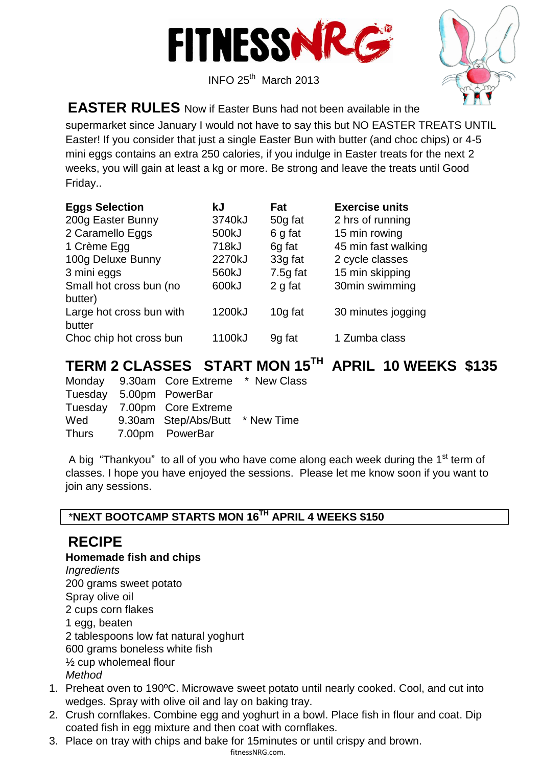

 $I$  INFO 25<sup>th</sup> March 2013



**EASTER RULES** Now if Easter Buns had not been available in the

supermarket since January I would not have to say this but NO EASTER TREATS UNTIL Easter! If you consider that just a single Easter Bun with butter (and choc chips) or 4-5 mini eggs contains an extra 250 calories, if you indulge in Easter treats for the next 2 weeks, you will gain at least a kg or more. Be strong and leave the treats until Good Friday..

| <b>Eggs Selection</b>    | kJ     | Fat        | <b>Exercise units</b> |
|--------------------------|--------|------------|-----------------------|
| 200g Easter Bunny        | 3740kJ | 50g fat    | 2 hrs of running      |
| 2 Caramello Eggs         | 500kJ  | 6 g fat    | 15 min rowing         |
| 1 Crème Egg              | 718kJ  | 6g fat     | 45 min fast walking   |
| 100g Deluxe Bunny        | 2270kJ | 33g fat    | 2 cycle classes       |
| 3 mini eggs              | 560kJ  | $7.5g$ fat | 15 min skipping       |
| Small hot cross bun (no  | 600kJ  | 2 g fat    | 30min swimming        |
| butter)                  |        |            |                       |
| Large hot cross bun with | 1200kJ | 10g fat    | 30 minutes jogging    |
| butter                   |        |            |                       |
| Choc chip hot cross bun  | 1100kJ | 9g fat     | 1 Zumba class         |

# **TERM 2 CLASSES START MON 15TH APRIL 10 WEEKS \$135**

Monday 9.30am Core Extreme \* New Class Tuesday 5.00pm PowerBar Tuesday 7.00pm Core Extreme Wed 9.30am Step/Abs/Butt \* New Time Thurs 7.00pm PowerBar

A big "Thankyou" to all of you who have come along each week during the 1<sup>st</sup> term of classes. I hope you have enjoyed the sessions. Please let me know soon if you want to join any sessions.

## \***NEXT BOOTCAMP STARTS MON 16TH APRIL 4 WEEKS \$150**

# **RECIPE**

### **Homemade fish and chips**

*Ingredients*

200 grams sweet potato

Spray olive oil

2 cups corn flakes

1 egg, beaten

2 tablespoons low fat natural yoghurt

600 grams boneless white fish

½ cup wholemeal flour

- *Method*
- 1. Preheat oven to 190ºC. Microwave sweet potato until nearly cooked. Cool, and cut into wedges. Spray with olive oil and lay on baking tray.
- 2. Crush cornflakes. Combine egg and yoghurt in a bowl. Place fish in flour and coat. Dip coated fish in egg mixture and then coat with cornflakes.
- 3. Place on tray with chips and bake for 15minutes or until crispy and brown.